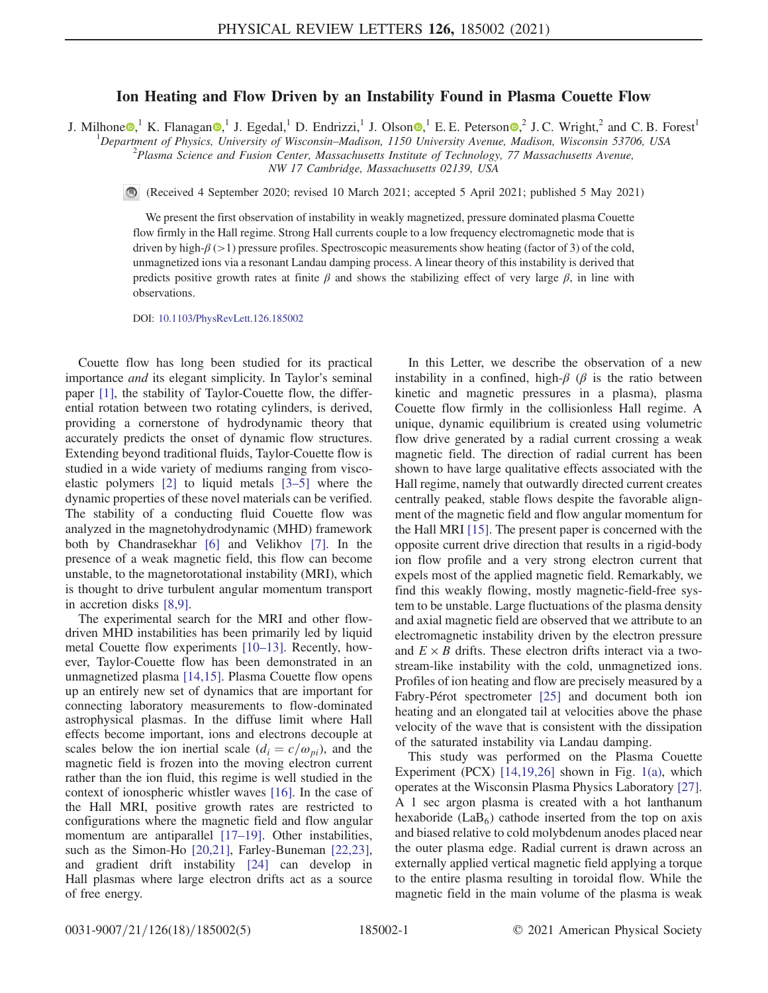## Ion Heating and Flow Driven by an Instability Found in Plasma Couette Flow

J. Milhone  $\bullet$ , <sup>1</sup> K. Flanagan  $\bullet$ , <sup>1</sup> J. Egedal, <sup>1</sup> D. Endrizzi, <sup>1</sup> J. Olson  $\bullet$ , <sup>1</sup> E. E. Peterson  $\bullet$ , <sup>2</sup> J. C. Wright, <sup>2</sup> and C. B. Forest<sup>1</sup>

<sup>1</sup>Department of Physics, University of Wisconsin–Madison, 1150 University Avenue, Madison, Wisconsin 53706, USA <sup>2</sup> Plasma Science and Eusion Center, Massachusette Institute of Technology, 77 Massachusette Avenue  $P<sup>2</sup>$ Plasma Science and Fusion Center, Massachusetts Institute of Technology, 77 Massachusetts Avenue,

NW 17 Cambridge, Massachusetts 02139, USA

(Received 4 September 2020; revised 10 March 2021; accepted 5 April 2021; published 5 May 2021)

We present the first observation of instability in weakly magnetized, pressure dominated plasma Couette flow firmly in the Hall regime. Strong Hall currents couple to a low frequency electromagnetic mode that is driven by high-β (>1) pressure profiles. Spectroscopic measurements show heating (factor of 3) of the cold, unmagnetized ions via a resonant Landau damping process. A linear theory of this instability is derived that predicts positive growth rates at finite  $\beta$  and shows the stabilizing effect of very large  $\beta$ , in line with observations.

DOI: [10.1103/PhysRevLett.126.185002](https://doi.org/10.1103/PhysRevLett.126.185002)

Couette flow has long been studied for its practical importance and its elegant simplicity. In Taylor's seminal paper [\[1\],](#page-3-0) the stability of Taylor-Couette flow, the differential rotation between two rotating cylinders, is derived, providing a cornerstone of hydrodynamic theory that accurately predicts the onset of dynamic flow structures. Extending beyond traditional fluids, Taylor-Couette flow is studied in a wide variety of mediums ranging from viscoelastic polymers [\[2\]](#page-3-1) to liquid metals [3–[5\]](#page-3-2) where the dynamic properties of these novel materials can be verified. The stability of a conducting fluid Couette flow was analyzed in the magnetohydrodynamic (MHD) framework both by Chandrasekhar [\[6\]](#page-4-0) and Velikhov [\[7\].](#page-4-1) In the presence of a weak magnetic field, this flow can become unstable, to the magnetorotational instability (MRI), which is thought to drive turbulent angular momentum transport in accretion disks [\[8,9\]](#page-4-2).

The experimental search for the MRI and other flowdriven MHD instabilities has been primarily led by liquid metal Couette flow experiments [\[10](#page-4-3)–13]. Recently, however, Taylor-Couette flow has been demonstrated in an unmagnetized plasma [\[14,15\]](#page-4-4). Plasma Couette flow opens up an entirely new set of dynamics that are important for connecting laboratory measurements to flow-dominated astrophysical plasmas. In the diffuse limit where Hall effects become important, ions and electrons decouple at scales below the ion inertial scale  $(d_i = c/\omega_{pi})$ , and the magnetic field is frozen into the moving electron current rather than the ion fluid, this regime is well studied in the context of ionospheric whistler waves [\[16\].](#page-4-5) In the case of the Hall MRI, positive growth rates are restricted to configurations where the magnetic field and flow angular momentum are antiparallel [17-[19\].](#page-4-6) Other instabilities, such as the Simon-Ho [\[20,21\]](#page-4-7), Farley-Buneman [\[22,23\]](#page-4-8), and gradient drift instability [\[24\]](#page-4-9) can develop in Hall plasmas where large electron drifts act as a source of free energy.

In this Letter, we describe the observation of a new instability in a confined, high- $\beta$  ( $\beta$  is the ratio between kinetic and magnetic pressures in a plasma), plasma Couette flow firmly in the collisionless Hall regime. A unique, dynamic equilibrium is created using volumetric flow drive generated by a radial current crossing a weak magnetic field. The direction of radial current has been shown to have large qualitative effects associated with the Hall regime, namely that outwardly directed current creates centrally peaked, stable flows despite the favorable alignment of the magnetic field and flow angular momentum for the Hall MRI [\[15\].](#page-4-10) The present paper is concerned with the opposite current drive direction that results in a rigid-body ion flow profile and a very strong electron current that expels most of the applied magnetic field. Remarkably, we find this weakly flowing, mostly magnetic-field-free system to be unstable. Large fluctuations of the plasma density and axial magnetic field are observed that we attribute to an electromagnetic instability driven by the electron pressure and  $E \times B$  drifts. These electron drifts interact via a twostream-like instability with the cold, unmagnetized ions. Profiles of ion heating and flow are precisely measured by a Fabry-Pérot spectrometer [\[25\]](#page-4-11) and document both ion heating and an elongated tail at velocities above the phase velocity of the wave that is consistent with the dissipation of the saturated instability via Landau damping.

This study was performed on the Plasma Couette Experiment (PCX) [\[14,19,26\]](#page-4-4) shown in Fig. [1\(a\),](#page-1-0) which operates at the Wisconsin Plasma Physics Laboratory [\[27\]](#page-4-12). A 1 sec argon plasma is created with a hot lanthanum hexaboride (LaB $<sub>6</sub>$ ) cathode inserted from the top on axis</sub> and biased relative to cold molybdenum anodes placed near the outer plasma edge. Radial current is drawn across an externally applied vertical magnetic field applying a torque to the entire plasma resulting in toroidal flow. While the magnetic field in the main volume of the plasma is weak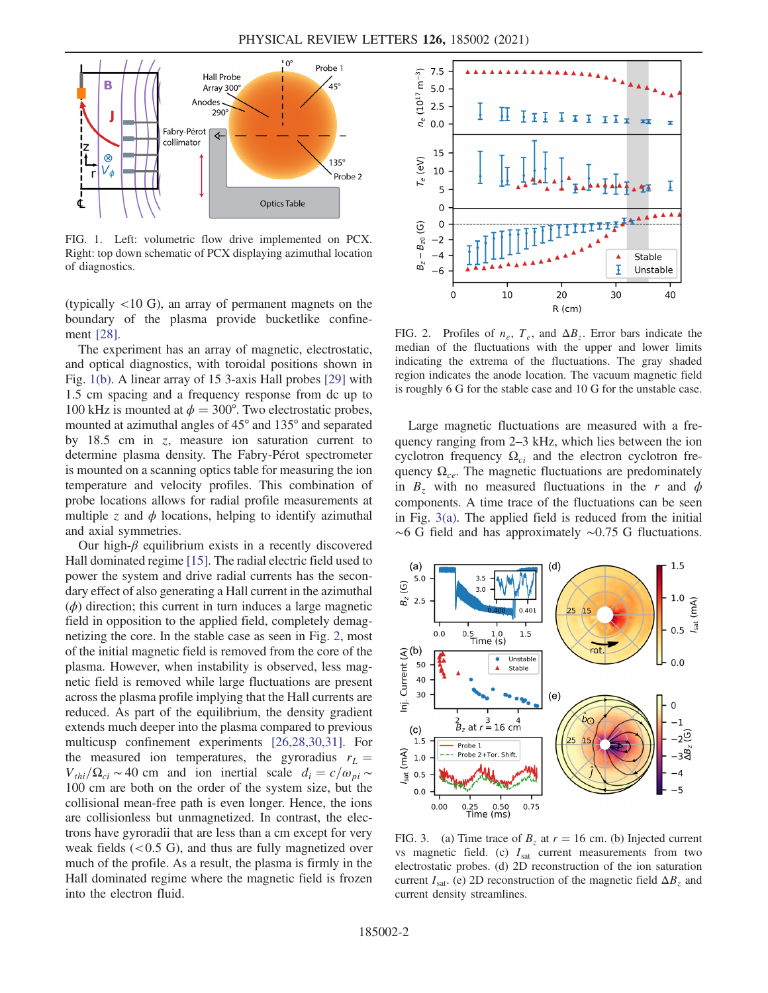<span id="page-1-0"></span>

FIG. 1. Left: volumetric flow drive implemented on PCX. Right: top down schematic of PCX displaying azimuthal location of diagnostics.

(typically  $\langle 10 \text{ G} \rangle$ , an array of permanent magnets on the boundary of the plasma provide bucketlike confinement [\[28\].](#page-4-13)

The experiment has an array of magnetic, electrostatic, and optical diagnostics, with toroidal positions shown in Fig. [1\(b\).](#page-1-0) A linear array of 15 3-axis Hall probes [\[29\]](#page-4-14) with 1.5 cm spacing and a frequency response from dc up to 100 kHz is mounted at  $\phi = 300^{\circ}$ . Two electrostatic probes, mounted at azimuthal angles of 45° and 135° and separated by  $18.5$  cm in z, measure ion saturation current to determine plasma density. The Fabry-Pérot spectrometer is mounted on a scanning optics table for measuring the ion temperature and velocity profiles. This combination of probe locations allows for radial profile measurements at multiple z and  $\phi$  locations, helping to identify azimuthal and axial symmetries.

Our high- $\beta$  equilibrium exists in a recently discovered Hall dominated regime [\[15\].](#page-4-10) The radial electric field used to power the system and drive radial currents has the secondary effect of also generating a Hall current in the azimuthal  $(\phi)$  direction; this current in turn induces a large magnetic field in opposition to the applied field, completely demagnetizing the core. In the stable case as seen in Fig. [2](#page-1-1), most of the initial magnetic field is removed from the core of the plasma. However, when instability is observed, less magnetic field is removed while large fluctuations are present across the plasma profile implying that the Hall currents are reduced. As part of the equilibrium, the density gradient extends much deeper into the plasma compared to previous multicusp confinement experiments [\[26,28,30,31\]](#page-4-15). For the measured ion temperatures, the gyroradius  $r<sub>L</sub>$  =  $V_{thi}/\Omega_{ci} \sim 40$  cm and ion inertial scale  $d_i = c/\omega_{pi} \sim$ 100 cm are both on the order of the system size, but the collisional mean-free path is even longer. Hence, the ions are collisionless but unmagnetized. In contrast, the electrons have gyroradii that are less than a cm except for very weak fields  $(< 0.5 \text{ G})$ , and thus are fully magnetized over much of the profile. As a result, the plasma is firmly in the Hall dominated regime where the magnetic field is frozen into the electron fluid.

<span id="page-1-1"></span>

FIG. 2. Profiles of  $n_e$ ,  $T_e$ , and  $\Delta B_z$ . Error bars indicate the median of the fluctuations with the upper and lower limits indicating the extrema of the fluctuations. The gray shaded region indicates the anode location. The vacuum magnetic field is roughly 6 G for the stable case and 10 G for the unstable case.

Large magnetic fluctuations are measured with a frequency ranging from 2–3 kHz, which lies between the ion cyclotron frequency  $\Omega_{ci}$  and the electron cyclotron frequency  $\Omega_{ce}$ . The magnetic fluctuations are predominately in  $B_z$  with no measured fluctuations in the r and  $\phi$ components. A time trace of the fluctuations can be seen in Fig. [3\(a\)](#page-1-2). The applied field is reduced from the initial ∼6 G field and has approximately ∼0.75 G fluctuations.

<span id="page-1-2"></span>

FIG. 3. (a) Time trace of  $B_z$  at  $r = 16$  cm. (b) Injected current vs magnetic field. (c)  $I_{\text{sat}}$  current measurements from two electrostatic probes. (d) 2D reconstruction of the ion saturation current  $I_{\text{sat}}$ . (e) 2D reconstruction of the magnetic field  $\Delta B_z$  and current density streamlines.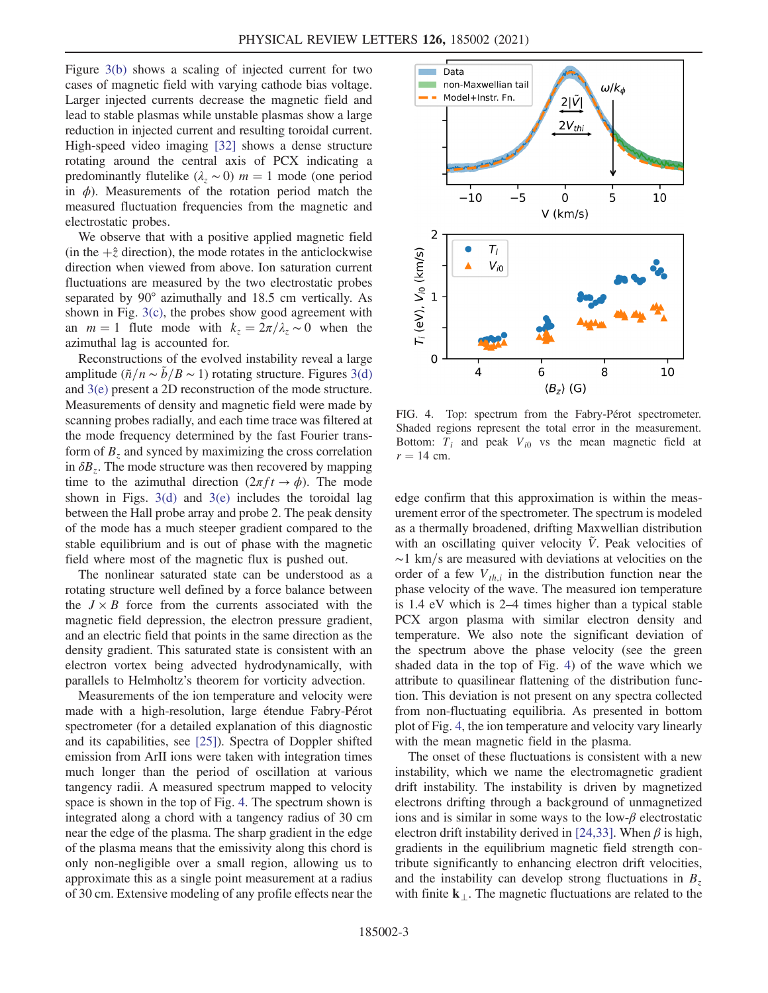Figure [3\(b\)](#page-1-2) shows a scaling of injected current for two cases of magnetic field with varying cathode bias voltage. Larger injected currents decrease the magnetic field and lead to stable plasmas while unstable plasmas show a large reduction in injected current and resulting toroidal current. High-speed video imaging [\[32\]](#page-4-16) shows a dense structure rotating around the central axis of PCX indicating a predominantly flutelike  $(\lambda_z \sim 0)$  m = 1 mode (one period in  $\phi$ ). Measurements of the rotation period match the measured fluctuation frequencies from the magnetic and electrostatic probes.

We observe that with a positive applied magnetic field (in the  $+\hat{z}$  direction), the mode rotates in the anticlockwise direction when viewed from above. Ion saturation current fluctuations are measured by the two electrostatic probes separated by 90° azimuthally and 18.5 cm vertically. As shown in Fig. [3\(c\)](#page-1-2), the probes show good agreement with an  $m = 1$  flute mode with  $k_z = 2\pi/\lambda_z \sim 0$  when the azimuthal lag is accounted for.

Reconstructions of the evolved instability reveal a large amplitude ( $\tilde{n}/n \sim \tilde{b}/B \sim 1$ ) rotating structure. Figures [3\(d\)](#page-1-2) and [3\(e\)](#page-1-2) present a 2D reconstruction of the mode structure. Measurements of density and magnetic field were made by scanning probes radially, and each time trace was filtered at the mode frequency determined by the fast Fourier transform of  $B<sub>z</sub>$  and synced by maximizing the cross correlation in  $\delta B_z$ . The mode structure was then recovered by mapping time to the azimuthal direction  $(2\pi f t \rightarrow \phi)$ . The mode shown in Figs.  $3(d)$  and  $3(e)$  includes the toroidal lag between the Hall probe array and probe 2. The peak density of the mode has a much steeper gradient compared to the stable equilibrium and is out of phase with the magnetic field where most of the magnetic flux is pushed out.

The nonlinear saturated state can be understood as a rotating structure well defined by a force balance between the  $J \times B$  force from the currents associated with the magnetic field depression, the electron pressure gradient, and an electric field that points in the same direction as the density gradient. This saturated state is consistent with an electron vortex being advected hydrodynamically, with parallels to Helmholtz's theorem for vorticity advection.

Measurements of the ion temperature and velocity were made with a high-resolution, large étendue Fabry-Pérot spectrometer (for a detailed explanation of this diagnostic and its capabilities, see [\[25\]](#page-4-11)). Spectra of Doppler shifted emission from ArII ions were taken with integration times much longer than the period of oscillation at various tangency radii. A measured spectrum mapped to velocity space is shown in the top of Fig. [4](#page-2-0). The spectrum shown is integrated along a chord with a tangency radius of 30 cm near the edge of the plasma. The sharp gradient in the edge of the plasma means that the emissivity along this chord is only non-negligible over a small region, allowing us to approximate this as a single point measurement at a radius of 30 cm. Extensive modeling of any profile effects near the

<span id="page-2-0"></span>

FIG. 4. Top: spectrum from the Fabry-Pérot spectrometer. Shaded regions represent the total error in the measurement. Bottom:  $T_i$  and peak  $V_{i0}$  vs the mean magnetic field at  $r = 14$  cm.

edge confirm that this approximation is within the measurement error of the spectrometer. The spectrum is modeled as a thermally broadened, drifting Maxwellian distribution with an oscillating quiver velocity  $\tilde{V}$ . Peak velocities of  $\sim$ 1 km/s are measured with deviations at velocities on the order of a few  $V_{th,i}$  in the distribution function near the phase velocity of the wave. The measured ion temperature is 1.4 eV which is 2–4 times higher than a typical stable PCX argon plasma with similar electron density and temperature. We also note the significant deviation of the spectrum above the phase velocity (see the green shaded data in the top of Fig. [4](#page-2-0)) of the wave which we attribute to quasilinear flattening of the distribution function. This deviation is not present on any spectra collected from non-fluctuating equilibria. As presented in bottom plot of Fig. [4](#page-2-0), the ion temperature and velocity vary linearly with the mean magnetic field in the plasma.

The onset of these fluctuations is consistent with a new instability, which we name the electromagnetic gradient drift instability. The instability is driven by magnetized electrons drifting through a background of unmagnetized ions and is similar in some ways to the low- $\beta$  electrostatic electron drift instability derived in [\[24,33\]](#page-4-9). When  $\beta$  is high, gradients in the equilibrium magnetic field strength contribute significantly to enhancing electron drift velocities, and the instability can develop strong fluctuations in  $B<sub>z</sub>$ with finite  $k_{\perp}$ . The magnetic fluctuations are related to the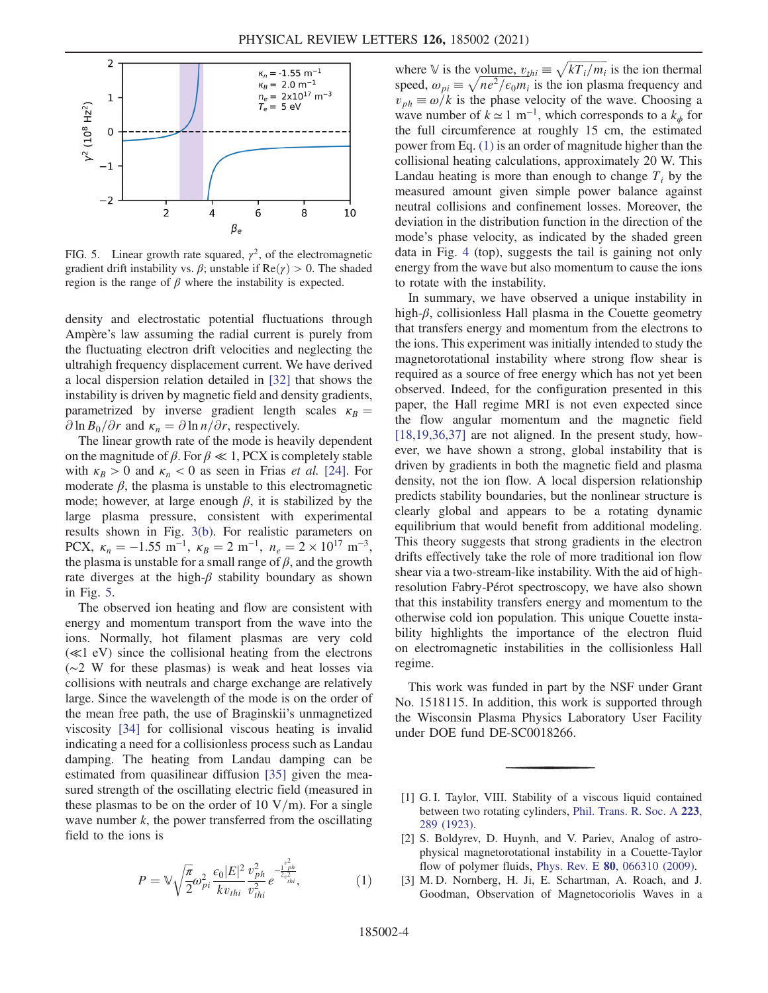<span id="page-3-3"></span>

FIG. 5. Linear growth rate squared,  $\gamma^2$ , of the electromagnetic gradient drift instability vs.  $\beta$ ; unstable if  $\text{Re}(\gamma) > 0$ . The shaded region is the range of  $\beta$  where the instability is expected.

density and electrostatic potential fluctuations through Ampère's law assuming the radial current is purely from the fluctuating electron drift velocities and neglecting the ultrahigh frequency displacement current. We have derived a local dispersion relation detailed in [\[32\]](#page-4-16) that shows the instability is driven by magnetic field and density gradients, parametrized by inverse gradient length scales  $\kappa_B =$  $\partial \ln B_0/\partial r$  and  $\kappa_n = \partial \ln n/\partial r$ , respectively.

The linear growth rate of the mode is heavily dependent on the magnitude of  $\beta$ . For  $\beta \ll 1$ , PCX is completely stable with  $\kappa_B > 0$  and  $\kappa_n < 0$  as seen in Frias *et al.* [\[24\].](#page-4-9) For moderate  $\beta$ , the plasma is unstable to this electromagnetic mode; however, at large enough  $\beta$ , it is stabilized by the large plasma pressure, consistent with experimental results shown in Fig. [3\(b\).](#page-1-2) For realistic parameters on PCX,  $\kappa_n = -1.55 \text{ m}^{-1}$ ,  $\kappa_B = 2 \text{ m}^{-1}$ ,  $n_e = 2 \times 10^{17} \text{ m}^{-3}$ , the plasma is unstable for a small range of  $\beta$ , and the growth rate diverges at the high- $\beta$  stability boundary as shown in Fig. [5](#page-3-3).

The observed ion heating and flow are consistent with energy and momentum transport from the wave into the ions. Normally, hot filament plasmas are very cold (≪1 eV) since the collisional heating from the electrons (∼2 W for these plasmas) is weak and heat losses via collisions with neutrals and charge exchange are relatively large. Since the wavelength of the mode is on the order of the mean free path, the use of Braginskii's unmagnetized viscosity [\[34\]](#page-4-17) for collisional viscous heating is invalid indicating a need for a collisionless process such as Landau damping. The heating from Landau damping can be estimated from quasilinear diffusion [\[35\]](#page-4-18) given the measured strength of the oscillating electric field (measured in these plasmas to be on the order of 10  $V/m$ ). For a single wave number  $k$ , the power transferred from the oscillating field to the ions is

<span id="page-3-4"></span>
$$
P = \mathbb{V}\sqrt{\frac{\pi}{2}}\omega_{pi}^{2} \frac{\epsilon_{0}|E|^{2}}{kv_{thi}} \frac{v_{ph}^{2}}{v_{thi}^{2}} e^{-\frac{v_{ph}^{2}}{2v_{thi}^{2}}}, \qquad (1)
$$

where V is the volume,  $v_{thi} \equiv \sqrt{kT_i/m_i}$  is the ion thermal where  $\mathbb{V}$  is the volume,  $v_{thi} \equiv \sqrt{kT_i/m_i}$  is the ion thermal speed,  $\omega_{pi} \equiv \sqrt{ne^2/\epsilon_0 m_i}$  is the ion plasma frequency and  $v_{ph} \equiv \omega/k$  is the phase velocity of the wave. Choosing a wave number of  $k \approx 1 \text{ m}^{-1}$ , which corresponds to a  $k_{\phi}$  for the full circumference at roughly 15 cm, the estimated power from Eq. [\(1\)](#page-3-4) is an order of magnitude higher than the collisional heating calculations, approximately 20 W. This Landau heating is more than enough to change  $T_i$  by the measured amount given simple power balance against neutral collisions and confinement losses. Moreover, the deviation in the distribution function in the direction of the mode's phase velocity, as indicated by the shaded green data in Fig. [4](#page-2-0) (top), suggests the tail is gaining not only energy from the wave but also momentum to cause the ions to rotate with the instability.

p

In summary, we have observed a unique instability in high- $\beta$ , collisionless Hall plasma in the Couette geometry that transfers energy and momentum from the electrons to the ions. This experiment was initially intended to study the magnetorotational instability where strong flow shear is required as a source of free energy which has not yet been observed. Indeed, for the configuration presented in this paper, the Hall regime MRI is not even expected since the flow angular momentum and the magnetic field  $[18,19,36,37]$  are not aligned. In the present study, however, we have shown a strong, global instability that is driven by gradients in both the magnetic field and plasma density, not the ion flow. A local dispersion relationship predicts stability boundaries, but the nonlinear structure is clearly global and appears to be a rotating dynamic equilibrium that would benefit from additional modeling. This theory suggests that strong gradients in the electron drifts effectively take the role of more traditional ion flow shear via a two-stream-like instability. With the aid of highresolution Fabry-Pérot spectroscopy, we have also shown that this instability transfers energy and momentum to the otherwise cold ion population. This unique Couette instability highlights the importance of the electron fluid on electromagnetic instabilities in the collisionless Hall regime.

This work was funded in part by the NSF under Grant No. 1518115. In addition, this work is supported through the Wisconsin Plasma Physics Laboratory User Facility under DOE fund DE-SC0018266.

- <span id="page-3-1"></span><span id="page-3-0"></span>[1] G. I. Taylor, VIII. Stability of a viscous liquid contained between two rotating cylinders, [Phil. Trans. R. Soc. A](https://doi.org/10.1098/rsta.1923.0008) 223, [289 \(1923\)](https://doi.org/10.1098/rsta.1923.0008).
- <span id="page-3-2"></span>[2] S. Boldyrev, D. Huynh, and V. Pariev, Analog of astrophysical magnetorotational instability in a Couette-Taylor flow of polymer fluids, Phys. Rev. E 80[, 066310 \(2009\).](https://doi.org/10.1103/PhysRevE.80.066310)
- [3] M. D. Nornberg, H. Ji, E. Schartman, A. Roach, and J. Goodman, Observation of Magnetocoriolis Waves in a